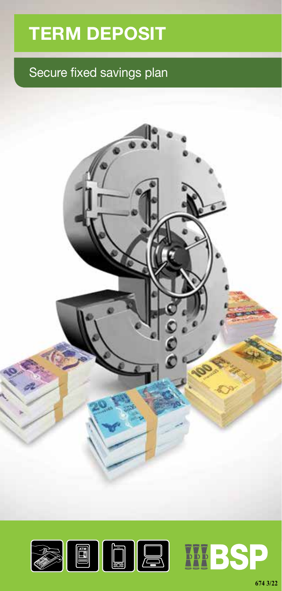## **TERM DEPOSIT**

### Secure fixed savings plan



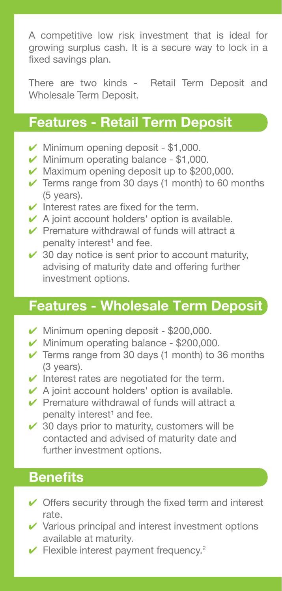A competitive low risk investment that is ideal for growing surplus cash. It is a secure way to lock in a fixed savings plan.

There are two kinds - Retail Term Deposit and Wholesale Term Deposit.

### **Features - Retail Term Deposit**

- $\nu$  Minimum opening deposit \$1,000.
- $\nu$  Minimum operating balance \$1,000.
- $\vee$  Maximum opening deposit up to \$200,000.
- $\checkmark$  Terms range from 30 days (1 month) to 60 months (5 years).
- $\vee$  Interest rates are fixed for the term.
- $\vee$  A joint account holders' option is available.
- $\vee$  Premature withdrawal of funds will attract a penalty interest<sup>1</sup> and fee.
- $\checkmark$  30 day notice is sent prior to account maturity, advising of maturity date and offering further investment options.

### **Features - Wholesale Term Deposit**

- $\blacktriangleright$  Minimum opening deposit \$200,000.
- $\nu$  Minimum operating balance \$200,000.
- $\checkmark$  Terms range from 30 days (1 month) to 36 months (3 years).
- $\checkmark$  Interest rates are negotiated for the term.
- $\vee$  A joint account holders' option is available.
- $\vee$  Premature withdrawal of funds will attract a penalty interest<sup>1</sup> and fee.
- $\checkmark$  30 days prior to maturity, customers will be contacted and advised of maturity date and further investment options.

### **Benefits**

- $\vee$  Offers security through the fixed term and interest rate.
- $\vee$  Various principal and interest investment options available at maturity.
- $\checkmark$  Flexible interest payment frequency.<sup>2</sup>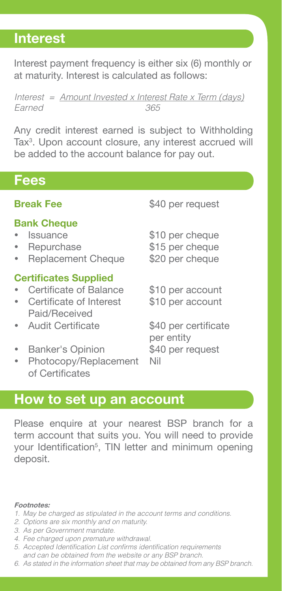### **Interest**

Interest payment frequency is either six (6) monthly or at maturity. Interest is calculated as follows:

*Interest = Amount Invested x Interest Rate x Term (days) Earned 365*

Any credit interest earned is subject to Withholding Tax<sup>3</sup>. Upon account closure, any interest accrued will be added to the account balance for pay out.

### **Fees**

### **Bank Cheque**

- 
- 
- Replacement Cheque \$20 per cheque

### **Certificates Supplied**

- Certificate of Balance \$10 per account
- Certificate of Interest \$10 per account Paid/Received
- 
- Banker's Opinion \$40 per request
- Photocopy/Replacement Nil of Certificates

**Break Fee** \$40 per request

- Issuance \$10 per cheque
- Repurchase \$15 per cheque
	-
	-

Audit Certificate \$40 per certificate per entity

### **How to set up an account**

Please enquire at your nearest BSP branch for a term account that suits you. You will need to provide your Identification<sup>5</sup>, TIN letter and minimum opening deposit.

### **Footnotes:**

- *1. May be charged as stipulated in the account terms and conditions.*
- *2. Options are six monthly and on maturity.*
- *3. As per Government mandate.*
- *4. Fee charged upon premature withdrawal.*
- 5. Accepted Identification List confirms identification requirements *and can be obtained from the website or any BSP branch.*
- *6. As stated in the information sheet that may be obtained from any BSP branch.*